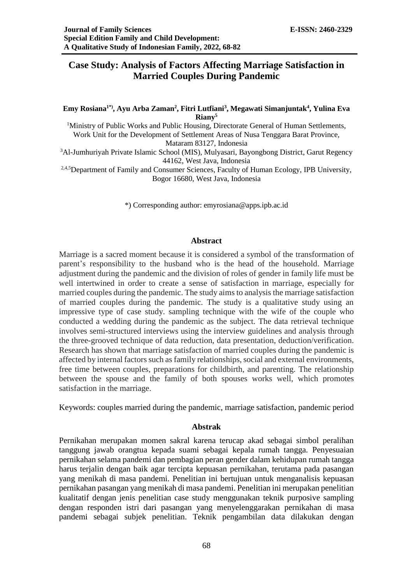# **Case Study: Analysis of Factors Affecting Marriage Satisfaction in Married Couples During Pandemic**

### **Emy Rosiana1\*), Ayu Arba Zaman<sup>2</sup> , Fitri Lutfiani<sup>3</sup> , Megawati Simanjuntak<sup>4</sup> , Yulina Eva Riany<sup>5</sup>**

<sup>1</sup>Ministry of Public Works and Public Housing, Directorate General of Human Settlements, Work Unit for the Development of Settlement Areas of Nusa Tenggara Barat Province, Mataram 83127, Indonesia

<sup>3</sup>Al-Jumhuriyah Private Islamic School (MIS), Mulyasari, Bayongbong District, Garut Regency 44162, West Java, Indonesia

<sup>2,4,5</sup>Department of Family and Consumer Sciences, Faculty of Human Ecology, IPB University, Bogor 16680, West Java, Indonesia

\*) Corresponding author: emyrosiana@apps.ipb.ac.id

#### **Abstract**

Marriage is a sacred moment because it is considered a symbol of the transformation of parent's responsibility to the husband who is the head of the household. Marriage adjustment during the pandemic and the division of roles of gender in family life must be well intertwined in order to create a sense of satisfaction in marriage, especially for married couples during the pandemic. The study aims to analysis the marriage satisfaction of married couples during the pandemic. The study is a qualitative study using an impressive type of case study. sampling technique with the wife of the couple who conducted a wedding during the pandemic as the subject. The data retrieval technique involves semi-structured interviews using the interview guidelines and analysis through the three-grooved technique of data reduction, data presentation, deduction/verification. Research has shown that marriage satisfaction of married couples during the pandemic is affected by internal factors such as family relationships, social and external environments, free time between couples, preparations for childbirth, and parenting. The relationship between the spouse and the family of both spouses works well, which promotes satisfaction in the marriage.

Keywords: couples married during the pandemic, marriage satisfaction, pandemic period

#### **Abstrak**

Pernikahan merupakan momen sakral karena terucap akad sebagai simbol peralihan tanggung jawab orangtua kepada suami sebagai kepala rumah tangga. Penyesuaian pernikahan selama pandemi dan pembagian peran gender dalam kehidupan rumah tangga harus terjalin dengan baik agar tercipta kepuasan pernikahan, terutama pada pasangan yang menikah di masa pandemi. Penelitian ini bertujuan untuk menganalisis kepuasan pernikahan pasangan yang menikah di masa pandemi. Penelitian ini merupakan penelitian kualitatif dengan jenis penelitian case study menggunakan teknik purposive sampling dengan responden istri dari pasangan yang menyelenggarakan pernikahan di masa pandemi sebagai subjek penelitian. Teknik pengambilan data dilakukan dengan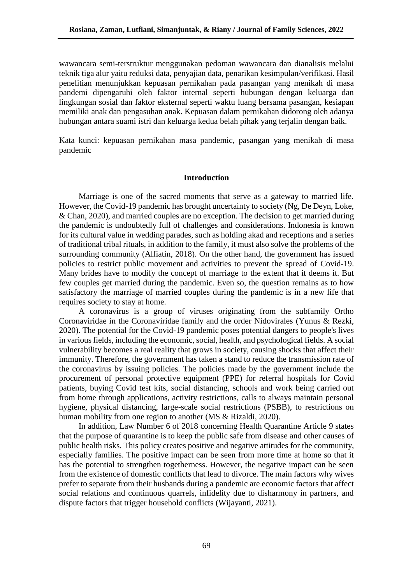wawancara semi-terstruktur menggunakan pedoman wawancara dan dianalisis melalui teknik tiga alur yaitu reduksi data, penyajian data, penarikan kesimpulan/verifikasi. Hasil penelitian menunjukkan kepuasan pernikahan pada pasangan yang menikah di masa pandemi dipengaruhi oleh faktor internal seperti hubungan dengan keluarga dan lingkungan sosial dan faktor eksternal seperti waktu luang bersama pasangan, kesiapan memiliki anak dan pengasuhan anak. Kepuasan dalam pernikahan didorong oleh adanya hubungan antara suami istri dan keluarga kedua belah pihak yang terjalin dengan baik.

Kata kunci: kepuasan pernikahan masa pandemic, pasangan yang menikah di masa pandemic

# **Introduction**

Marriage is one of the sacred moments that serve as a gateway to married life. However, the Covid-19 pandemic has brought uncertainty to society (Ng, De Deyn, Loke, & Chan, 2020), and married couples are no exception. The decision to get married during the pandemic is undoubtedly full of challenges and considerations. Indonesia is known for its cultural value in wedding parades, such as holding akad and receptions and a series of traditional tribal rituals, in addition to the family, it must also solve the problems of the surrounding community (Alfiatin, 2018). On the other hand, the government has issued policies to restrict public movement and activities to prevent the spread of Covid-19. Many brides have to modify the concept of marriage to the extent that it deems it. But few couples get married during the pandemic. Even so, the question remains as to how satisfactory the marriage of married couples during the pandemic is in a new life that requires society to stay at home.

A coronavirus is a group of viruses originating from the subfamily Ortho Coronaviridae in the Coronaviridae family and the order Nidovirales (Yunus & Rezki, 2020). The potential for the Covid-19 pandemic poses potential dangers to people's lives in various fields, including the economic, social, health, and psychological fields. A social vulnerability becomes a real reality that grows in society, causing shocks that affect their immunity. Therefore, the government has taken a stand to reduce the transmission rate of the coronavirus by issuing policies. The policies made by the government include the procurement of personal protective equipment (PPE) for referral hospitals for Covid patients, buying Covid test kits, social distancing, schools and work being carried out from home through applications, activity restrictions, calls to always maintain personal hygiene, physical distancing, large-scale social restrictions (PSBB), to restrictions on human mobility from one region to another (MS & Rizaldi, 2020).

In addition, Law Number 6 of 2018 concerning Health Quarantine Article 9 states that the purpose of quarantine is to keep the public safe from disease and other causes of public health risks. This policy creates positive and negative attitudes for the community, especially families. The positive impact can be seen from more time at home so that it has the potential to strengthen togetherness. However, the negative impact can be seen from the existence of domestic conflicts that lead to divorce. The main factors why wives prefer to separate from their husbands during a pandemic are economic factors that affect social relations and continuous quarrels, infidelity due to disharmony in partners, and dispute factors that trigger household conflicts (Wijayanti, 2021).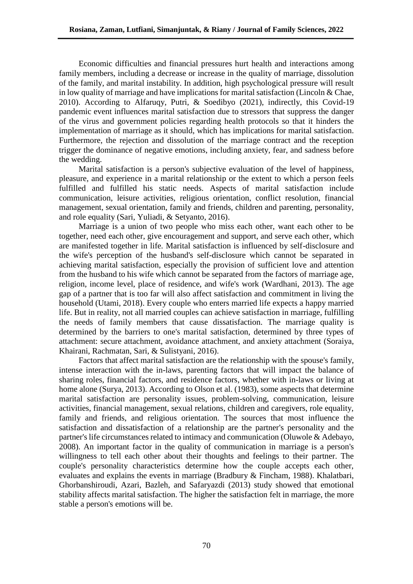Economic difficulties and financial pressures hurt health and interactions among family members, including a decrease or increase in the quality of marriage, dissolution of the family, and marital instability. In addition, high psychological pressure will result in low quality of marriage and have implications for marital satisfaction (Lincoln & Chae, 2010). According to Alfaruqy, Putri, & Soedibyo (2021), indirectly, this Covid-19 pandemic event influences marital satisfaction due to stressors that suppress the danger of the virus and government policies regarding health protocols so that it hinders the implementation of marriage as it should, which has implications for marital satisfaction. Furthermore, the rejection and dissolution of the marriage contract and the reception trigger the dominance of negative emotions, including anxiety, fear, and sadness before the wedding.

Marital satisfaction is a person's subjective evaluation of the level of happiness, pleasure, and experience in a marital relationship or the extent to which a person feels fulfilled and fulfilled his static needs. Aspects of marital satisfaction include communication, leisure activities, religious orientation, conflict resolution, financial management, sexual orientation, family and friends, children and parenting, personality, and role equality (Sari, Yuliadi, & Setyanto, 2016).

Marriage is a union of two people who miss each other, want each other to be together, need each other, give encouragement and support, and serve each other, which are manifested together in life. Marital satisfaction is influenced by self-disclosure and the wife's perception of the husband's self-disclosure which cannot be separated in achieving marital satisfaction, especially the provision of sufficient love and attention from the husband to his wife which cannot be separated from the factors of marriage age, religion, income level, place of residence, and wife's work (Wardhani, 2013). The age gap of a partner that is too far will also affect satisfaction and commitment in living the household (Utami, 2018). Every couple who enters married life expects a happy married life. But in reality, not all married couples can achieve satisfaction in marriage, fulfilling the needs of family members that cause dissatisfaction. The marriage quality is determined by the barriers to one's marital satisfaction, determined by three types of attachment: secure attachment, avoidance attachment, and anxiety attachment (Soraiya, Khairani, Rachmatan, Sari, & Sulistyani, 2016).

Factors that affect marital satisfaction are the relationship with the spouse's family, intense interaction with the in-laws, parenting factors that will impact the balance of sharing roles, financial factors, and residence factors, whether with in-laws or living at home alone (Surya, 2013). According to Olson et al. (1983), some aspects that determine marital satisfaction are personality issues, problem-solving, communication, leisure activities, financial management, sexual relations, children and caregivers, role equality, family and friends, and religious orientation. The sources that most influence the satisfaction and dissatisfaction of a relationship are the partner's personality and the partner's life circumstances related to intimacy and communication (Oluwole & Adebayo, 2008). An important factor in the quality of communication in marriage is a person's willingness to tell each other about their thoughts and feelings to their partner. The couple's personality characteristics determine how the couple accepts each other, evaluates and explains the events in marriage (Bradbury & Fincham, 1988). Khalatbari, Ghorbanshiroudi, Azari, Bazleh, and Safaryazdi (2013) study showed that emotional stability affects marital satisfaction. The higher the satisfaction felt in marriage, the more stable a person's emotions will be.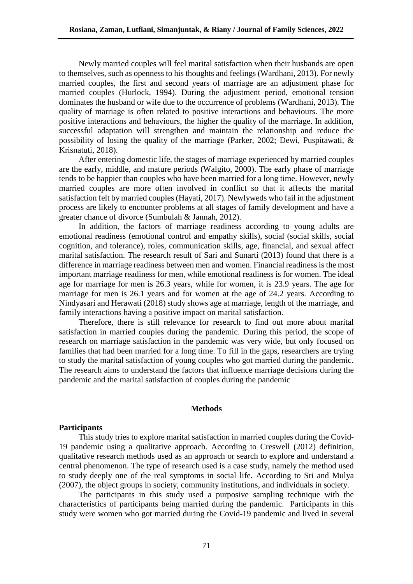Newly married couples will feel marital satisfaction when their husbands are open to themselves, such as openness to his thoughts and feelings (Wardhani, 2013). For newly married couples, the first and second years of marriage are an adjustment phase for married couples (Hurlock, 1994). During the adjustment period, emotional tension dominates the husband or wife due to the occurrence of problems (Wardhani, 2013). The quality of marriage is often related to positive interactions and behaviours. The more positive interactions and behaviours, the higher the quality of the marriage. In addition, successful adaptation will strengthen and maintain the relationship and reduce the possibility of losing the quality of the marriage (Parker, 2002; Dewi, Puspitawati, & Krisnatuti, 2018).

After entering domestic life, the stages of marriage experienced by married couples are the early, middle, and mature periods (Walgito, 2000). The early phase of marriage tends to be happier than couples who have been married for a long time. However, newly married couples are more often involved in conflict so that it affects the marital satisfaction felt by married couples (Hayati, 2017). Newlyweds who fail in the adjustment process are likely to encounter problems at all stages of family development and have a greater chance of divorce (Sumbulah & Jannah, 2012).

In addition, the factors of marriage readiness according to young adults are emotional readiness (emotional control and empathy skills), social (social skills, social cognition, and tolerance), roles, communication skills, age, financial, and sexual affect marital satisfaction. The research result of Sari and Sunarti (2013) found that there is a difference in marriage readiness between men and women. Financial readiness is the most important marriage readiness for men, while emotional readiness is for women. The ideal age for marriage for men is 26.3 years, while for women, it is 23.9 years. The age for marriage for men is 26.1 years and for women at the age of 24.2 years. According to Nindyasari and Herawati (2018) study shows age at marriage, length of the marriage, and family interactions having a positive impact on marital satisfaction.

Therefore, there is still relevance for research to find out more about marital satisfaction in married couples during the pandemic. During this period, the scope of research on marriage satisfaction in the pandemic was very wide, but only focused on families that had been married for a long time. To fill in the gaps, researchers are trying to study the marital satisfaction of young couples who got married during the pandemic. The research aims to understand the factors that influence marriage decisions during the pandemic and the marital satisfaction of couples during the pandemic

#### **Methods**

### **Participants**

This study tries to explore marital satisfaction in married couples during the Covid-19 pandemic using a qualitative approach. According to Creswell (2012) definition, qualitative research methods used as an approach or search to explore and understand a central phenomenon. The type of research used is a case study, namely the method used to study deeply one of the real symptoms in social life. According to Sri and Mulya (2007), the object groups in society, community institutions, and individuals in society.

The participants in this study used a purposive sampling technique with the characteristics of participants being married during the pandemic. Participants in this study were women who got married during the Covid-19 pandemic and lived in several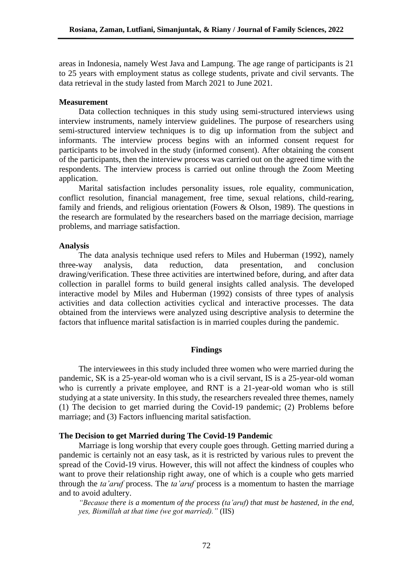areas in Indonesia, namely West Java and Lampung. The age range of participants is 21 to 25 years with employment status as college students, private and civil servants. The data retrieval in the study lasted from March 2021 to June 2021.

## **Measurement**

Data collection techniques in this study using semi-structured interviews using interview instruments, namely interview guidelines. The purpose of researchers using semi-structured interview techniques is to dig up information from the subject and informants. The interview process begins with an informed consent request for participants to be involved in the study (informed consent). After obtaining the consent of the participants, then the interview process was carried out on the agreed time with the respondents. The interview process is carried out online through the Zoom Meeting application.

Marital satisfaction includes personality issues, role equality, communication, conflict resolution, financial management, free time, sexual relations, child-rearing, family and friends, and religious orientation (Fowers & Olson, 1989). The questions in the research are formulated by the researchers based on the marriage decision, marriage problems, and marriage satisfaction.

### **Analysis**

The data analysis technique used refers to Miles and Huberman (1992), namely three-way analysis, data reduction, data presentation, and conclusion drawing/verification. These three activities are intertwined before, during, and after data collection in parallel forms to build general insights called analysis. The developed interactive model by Miles and Huberman (1992) consists of three types of analysis activities and data collection activities cyclical and interactive processes. The data obtained from the interviews were analyzed using descriptive analysis to determine the factors that influence marital satisfaction is in married couples during the pandemic.

# **Findings**

The interviewees in this study included three women who were married during the pandemic, SK is a 25-year-old woman who is a civil servant, IS is a 25-year-old woman who is currently a private employee, and RNT is a 21-year-old woman who is still studying at a state university. In this study, the researchers revealed three themes, namely (1) The decision to get married during the Covid-19 pandemic; (2) Problems before marriage; and (3) Factors influencing marital satisfaction.

# **The Decision to get Married during The Covid-19 Pandemic**

Marriage is long worship that every couple goes through. Getting married during a pandemic is certainly not an easy task, as it is restricted by various rules to prevent the spread of the Covid-19 virus. However, this will not affect the kindness of couples who want to prove their relationship right away, one of which is a couple who gets married through the *ta'aruf* process. The *ta'aruf* process is a momentum to hasten the marriage and to avoid adultery.

*"Because there is a momentum of the process (ta'aruf) that must be hastened, in the end, yes, Bismillah at that time (we got married)."* (IIS)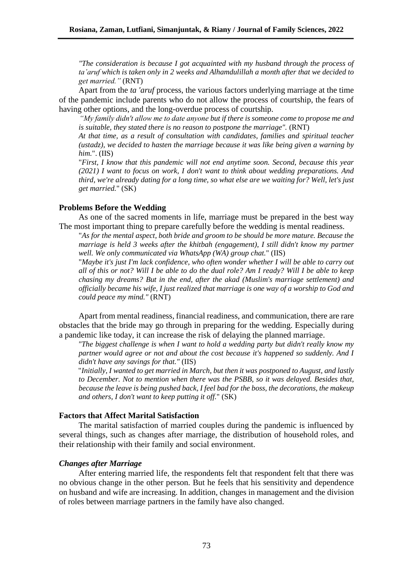*"The consideration is because I got acquainted with my husband through the process of ta'aruf which is taken only in 2 weeks and Alhamdulillah a month after that we decided to get married."* (RNT)

Apart from the *ta 'aruf* process, the various factors underlying marriage at the time of the pandemic include parents who do not allow the process of courtship, the fears of having other options, and the long-overdue process of courtship.

*"My family didn't allow me to date anyone but if there is someone come to propose me and is suitable, they stated there is no reason to postpone the marriage".* (RNT)

*At that time, as a result of consultation with candidates, families and spiritual teacher (ustadz), we decided to hasten the marriage because it was like being given a warning by him.*". (IIS)

"*First, I know that this pandemic will not end anytime soon. Second, because this year (2021) I want to focus on work, I don't want to think about wedding preparations. And third, we're already dating for a long time, so what else are we waiting for? Well, let's just get married.*" (SK)

### **Problems Before the Wedding**

As one of the sacred moments in life, marriage must be prepared in the best way The most important thing to prepare carefully before the wedding is mental readiness.

"*As for the mental aspect, both bride and groom to be should be more mature. Because the marriage is held 3 weeks after the khitbah (engagement), I still didn't know my partner well. We only communicated via WhatsApp (WA) group chat.*" (IIS)

"*Maybe it's just I'm lack confidence, who often wonder whether I will be able to carry out all of this or not? Will I be able to do the dual role? Am I ready? Will I be able to keep chasing my dreams? But in the end, after the akad (Muslim's marriage settlement) and officially became his wife, I just realized that marriage is one way of a worship to God and could peace my mind."* (RNT)

Apart from mental readiness, financial readiness, and communication, there are rare obstacles that the bride may go through in preparing for the wedding. Especially during a pandemic like today, it can increase the risk of delaying the planned marriage.

*"The biggest challenge is when I want to hold a wedding party but didn't really know my partner would agree or not and about the cost because it's happened so suddenly. And I didn't have any savings for that."* (IIS)

"*Initially, I wanted to get married in March, but then it was postponed to August, and lastly to December. Not to mention when there was the PSBB, so it was delayed. Besides that, because the leave is being pushed back, I feel bad for the boss, the decorations, the makeup and others, I don't want to keep putting it off.*" (SK)

# **Factors that Affect Marital Satisfaction**

The marital satisfaction of married couples during the pandemic is influenced by several things, such as changes after marriage, the distribution of household roles, and their relationship with their family and social environment.

# *Changes after Marriage*

After entering married life, the respondents felt that respondent felt that there was no obvious change in the other person. But he feels that his sensitivity and dependence on husband and wife are increasing. In addition, changes in management and the division of roles between marriage partners in the family have also changed.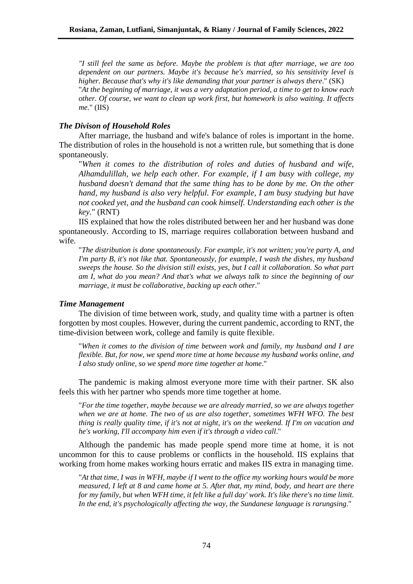*"I still feel the same as before. Maybe the problem is that after marriage, we are too dependent on our partners. Maybe it's because he's married, so his sensitivity level is higher. Because that's why it's like demanding that your partner is always there*." (SK) "*At the beginning of marriage, it was a very adaptation period, a time to get to know each other. Of course, we want to clean up work first, but homework is also waiting. It affects me.*" (IIS)

### *The Divison of Household Roles*

After marriage, the husband and wife's balance of roles is important in the home. The distribution of roles in the household is not a written rule, but something that is done spontaneously.

"*When it comes to the distribution of roles and duties of husband and wife, Alhamdulillah, we help each other. For example, if I am busy with college, my husband doesn't demand that the same thing has to be done by me. On the other hand, my husband is also very helpful. For example, I am busy studying but have not cooked yet, and the husband can cook himself. Understanding each other is the key.*" (RNT)

IIS explained that how the roles distributed between her and her husband was done spontaneously. According to IS, marriage requires collaboration between husband and wife.

"*The distribution is done spontaneously. For example, it's not written; you're party A, and I'm party B, it's not like that. Spontaneously, for example, I wash the dishes, my husband sweeps the house. So the division still exists, yes, but I call it collaboration. So what part am I, what do you mean? And that's what we always talk to since the beginning of our marriage, it must be collaborative, backing up each other*."

### *Time Management*

The division of time between work, study, and quality time with a partner is often forgotten by most couples. However, during the current pandemic, according to RNT, the time-division between work, college and family is quite flexible.

"*When it comes to the division of time between work and family, my husband and I are flexible. But, for now, we spend more time at home because my husband works online, and I also study online, so we spend more time together at home*."

The pandemic is making almost everyone more time with their partner. SK also feels this with her partner who spends more time together at home.

"*For the time together, maybe because we are already married, so we are always together when we are at home. The two of us are also together, sometimes WFH WFO. The best thing is really quality time, if it's not at night, it's on the weekend. If I'm on vacation and he's working, I'll accompany him even if it's through a video call*."

Although the pandemic has made people spend more time at home, it is not uncommon for this to cause problems or conflicts in the household. IIS explains that working from home makes working hours erratic and makes IIS extra in managing time.

"*At that time, I was in WFH, maybe if I went to the office my working hours would be more measured, I left at 8 and came home at 5. After that, my mind, body, and heart are there for my family, but when WFH time, it felt like a full day' work. It's like there's no time limit. In the end, it's psychologically affecting the way, the Sundanese language is rarungsing*."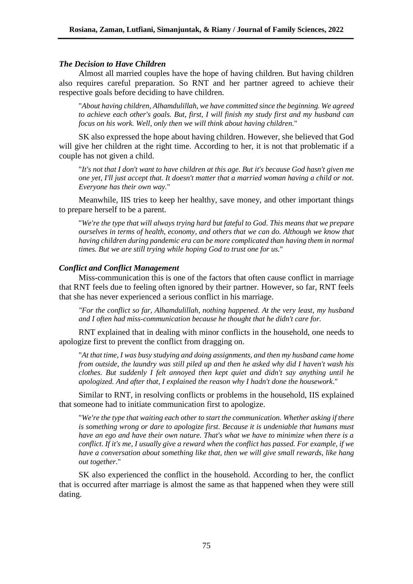### *The Decision to Have Children*

Almost all married couples have the hope of having children. But having children also requires careful preparation. So RNT and her partner agreed to achieve their respective goals before deciding to have children.

"*About having children, Alhamdulillah, we have committed since the beginning. We agreed to achieve each other's goals. But, first, I will finish my study first and my husband can focus on his work. Well, only then we will think about having children.*"

SK also expressed the hope about having children. However, she believed that God will give her children at the right time. According to her, it is not that problematic if a couple has not given a child.

"*It's not that I don't want to have children at this age. But it's because God hasn't given me one yet, I'll just accept that. It doesn't matter that a married woman having a child or not. Everyone has their own way.*"

Meanwhile, IIS tries to keep her healthy, save money, and other important things to prepare herself to be a parent.

"*We're the type that will always trying hard but fateful to God. This means that we prepare ourselves in terms of health, economy, and others that we can do. Although we know that having children during pandemic era can be more complicated than having them in normal times. But we are still trying while hoping God to trust one for us.*"

#### *Conflict and Conflict Management*

Miss-communication this is one of the factors that often cause conflict in marriage that RNT feels due to feeling often ignored by their partner. However, so far, RNT feels that she has never experienced a serious conflict in his marriage.

*"For the conflict so far, Alhamdulillah, nothing happened. At the very least, my husband and I often had miss-communication because he thought that he didn't care for.* 

RNT explained that in dealing with minor conflicts in the household, one needs to apologize first to prevent the conflict from dragging on.

"*At that time, I was busy studying and doing assignments, and then my husband came home from outside, the laundry was still piled up and then he asked why did I haven't wash his clothes. But suddenly I felt annoyed then kept quiet and didn't say anything until he apologized. And after that, I explained the reason why I hadn't done the housework*."

Similar to RNT, in resolving conflicts or problems in the household, IIS explained that someone had to initiate communication first to apologize.

"*We're the type that waiting each other to start the communication. Whether asking if there is something wrong or dare to apologize first. Because it is undeniable that humans must have an ego and have their own nature. That's what we have to minimize when there is a conflict. If it's me, I usually give a reward when the conflict has passed. For example, if we have a conversation about something like that, then we will give small rewards, like hang out together*."

SK also experienced the conflict in the household. According to her, the conflict that is occurred after marriage is almost the same as that happened when they were still dating.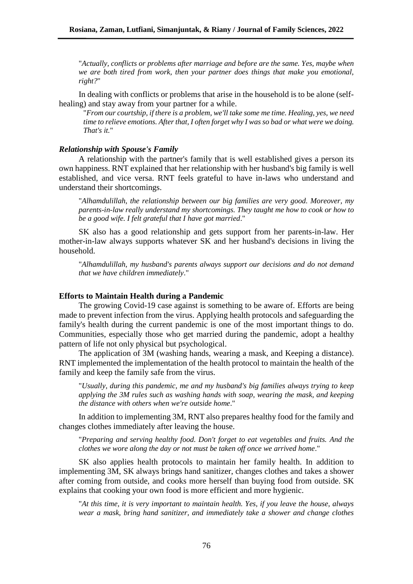"*Actually, conflicts or problems after marriage and before are the same. Yes, maybe when we are both tired from work, then your partner does things that make you emotional, right?*"

In dealing with conflicts or problems that arise in the household is to be alone (selfhealing) and stay away from your partner for a while.

"*From our courtship, if there is a problem, we'll take some me time. Healing, yes, we need time to relieve emotions. After that, I often forget why I was so bad or what were we doing. That's it.*"

### *Relationship with Spouse's Family*

A relationship with the partner's family that is well established gives a person its own happiness. RNT explained that her relationship with her husband's big family is well established, and vice versa. RNT feels grateful to have in-laws who understand and understand their shortcomings.

"*Alhamdulillah*, *the relationship between our big families are very good. Moreover, my parents-in-law really understand my shortcomings. They taught me how to cook or how to be a good wife. I felt grateful that I have got married*."

SK also has a good relationship and gets support from her parents-in-law. Her mother-in-law always supports whatever SK and her husband's decisions in living the household.

"*Alhamdulillah, my husband's parents always support our decisions and do not demand that we have children immediately*."

#### **Efforts to Maintain Health during a Pandemic**

The growing Covid-19 case against is something to be aware of. Efforts are being made to prevent infection from the virus. Applying health protocols and safeguarding the family's health during the current pandemic is one of the most important things to do. Communities, especially those who get married during the pandemic, adopt a healthy pattern of life not only physical but psychological.

The application of 3M (washing hands, wearing a mask, and Keeping a distance). RNT implemented the implementation of the health protocol to maintain the health of the family and keep the family safe from the virus.

"*Usually, during this pandemic, me and my husband's big families always trying to keep applying the 3M rules such as washing hands with soap, wearing the mask, and keeping the distance with others when we're outside home*."

In addition to implementing 3M, RNT also prepares healthy food for the family and changes clothes immediately after leaving the house.

"*Preparing and serving healthy food. Don't forget to eat vegetables and fruits. And the clothes we wore along the day or not must be taken off once we arrived home*."

SK also applies health protocols to maintain her family health. In addition to implementing 3M, SK always brings hand sanitizer, changes clothes and takes a shower after coming from outside, and cooks more herself than buying food from outside. SK explains that cooking your own food is more efficient and more hygienic.

"*At this time, it is very important to maintain health. Yes, if you leave the house, always wear a mask, bring hand sanitizer, and immediately take a shower and change clothes*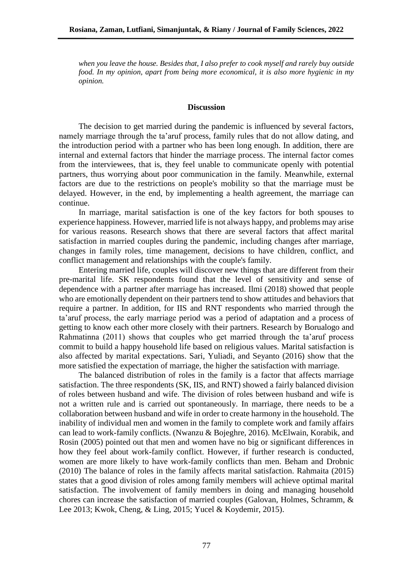*when you leave the house. Besides that, I also prefer to cook myself and rarely buy outside food. In my opinion, apart from being more economical, it is also more hygienic in my opinion.*

#### **Discussion**

The decision to get married during the pandemic is influenced by several factors, namely marriage through the ta'aruf process, family rules that do not allow dating, and the introduction period with a partner who has been long enough. In addition, there are internal and external factors that hinder the marriage process. The internal factor comes from the interviewees, that is, they feel unable to communicate openly with potential partners, thus worrying about poor communication in the family. Meanwhile, external factors are due to the restrictions on people's mobility so that the marriage must be delayed. However, in the end, by implementing a health agreement, the marriage can continue.

In marriage, marital satisfaction is one of the key factors for both spouses to experience happiness. However, married life is not always happy, and problems may arise for various reasons. Research shows that there are several factors that affect marital satisfaction in married couples during the pandemic, including changes after marriage, changes in family roles, time management, decisions to have children, conflict, and conflict management and relationships with the couple's family.

Entering married life, couples will discover new things that are different from their pre-marital life. SK respondents found that the level of sensitivity and sense of dependence with a partner after marriage has increased. Ilmi (2018) showed that people who are emotionally dependent on their partners tend to show attitudes and behaviors that require a partner. In addition, for IIS and RNT respondents who married through the ta'aruf process, the early marriage period was a period of adaptation and a process of getting to know each other more closely with their partners. Research by Borualogo and Rahmatinna (2011) shows that couples who get married through the ta'aruf process commit to build a happy household life based on religious values. Marital satisfaction is also affected by marital expectations. Sari, Yuliadi, and Seyanto (2016) show that the more satisfied the expectation of marriage, the higher the satisfaction with marriage.

The balanced distribution of roles in the family is a factor that affects marriage satisfaction. The three respondents (SK, IIS, and RNT) showed a fairly balanced division of roles between husband and wife. The division of roles between husband and wife is not a written rule and is carried out spontaneously. In marriage, there needs to be a collaboration between husband and wife in order to create harmony in the household. The inability of individual men and women in the family to complete work and family affairs can lead to work-family conflicts. (Nwanzu & Bojeghre, 2016). McElwain, Korabik, and Rosin (2005) pointed out that men and women have no big or significant differences in how they feel about work-family conflict. However, if further research is conducted, women are more likely to have work-family conflicts than men. Beham and Drobnic (2010) The balance of roles in the family affects marital satisfaction. Rahmaita (2015) states that a good division of roles among family members will achieve optimal marital satisfaction. The involvement of family members in doing and managing household chores can increase the satisfaction of married couples (Galovan, Holmes, Schramm, & Lee 2013; Kwok, Cheng, & Ling, 2015; Yucel & Koydemir, 2015).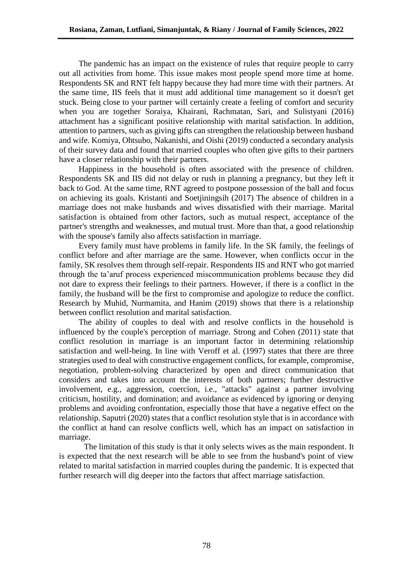The pandemic has an impact on the existence of rules that require people to carry out all activities from home. This issue makes most people spend more time at home. Respondents SK and RNT felt happy because they had more time with their partners. At the same time, IIS feels that it must add additional time management so it doesn't get stuck. Being close to your partner will certainly create a feeling of comfort and security when you are together Soraiya, Khairani, Rachmatan, Sari, and Sulistyani (2016) attachment has a significant positive relationship with marital satisfaction. In addition, attention to partners, such as giving gifts can strengthen the relationship between husband and wife. Komiya, Ohtsubo, Nakanishi, and Oishi (2019) conducted a secondary analysis of their survey data and found that married couples who often give gifts to their partners have a closer relationship with their partners.

Happiness in the household is often associated with the presence of children. Respondents SK and IIS did not delay or rush in planning a pregnancy, but they left it back to God. At the same time, RNT agreed to postpone possession of the ball and focus on achieving its goals. Kristanti and Soetjiningsih (2017) The absence of children in a marriage does not make husbands and wives dissatisfied with their marriage. Marital satisfaction is obtained from other factors, such as mutual respect, acceptance of the partner's strengths and weaknesses, and mutual trust. More than that, a good relationship with the spouse's family also affects satisfaction in marriage.

Every family must have problems in family life. In the SK family, the feelings of conflict before and after marriage are the same. However, when conflicts occur in the family, SK resolves them through self-repair. Respondents IIS and RNT who got married through the ta'aruf process experienced miscommunication problems because they did not dare to express their feelings to their partners. However, if there is a conflict in the family, the husband will be the first to compromise and apologize to reduce the conflict. Research by Muhid, Nurmamita, and Hanim (2019) shows that there is a relationship between conflict resolution and marital satisfaction.

The ability of couples to deal with and resolve conflicts in the household is influenced by the couple's perception of marriage. Strong and Cohen (2011) state that conflict resolution in marriage is an important factor in determining relationship satisfaction and well-being. In line with Veroff et al. (1997) states that there are three strategies used to deal with constructive engagement conflicts, for example, compromise, negotiation, problem-solving characterized by open and direct communication that considers and takes into account the interests of both partners; further destructive involvement, e.g., aggression, coercion, i.e., "attacks" against a partner involving criticism, hostility, and domination; and avoidance as evidenced by ignoring or denying problems and avoiding confrontation, especially those that have a negative effect on the relationship. Saputri (2020) states that a conflict resolution style that is in accordance with the conflict at hand can resolve conflicts well, which has an impact on satisfaction in marriage.

The limitation of this study is that it only selects wives as the main respondent. It is expected that the next research will be able to see from the husband's point of view related to marital satisfaction in married couples during the pandemic. It is expected that further research will dig deeper into the factors that affect marriage satisfaction.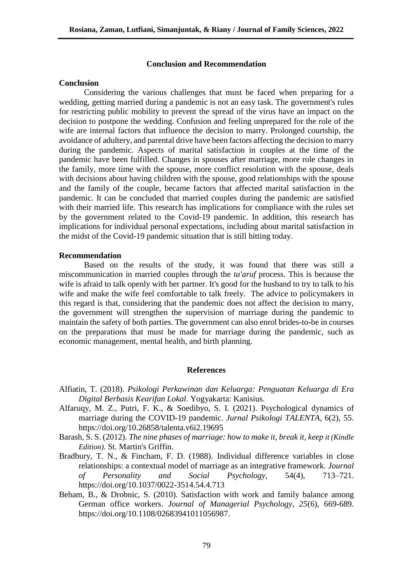### **Conclusion and Recommendation**

#### **Conclusion**

Considering the various challenges that must be faced when preparing for a wedding, getting married during a pandemic is not an easy task. The government's rules for restricting public mobility to prevent the spread of the virus have an impact on the decision to postpone the wedding. Confusion and feeling unprepared for the role of the wife are internal factors that influence the decision to marry. Prolonged courtship, the avoidance of adultery, and parental drive have been factors affecting the decision to marry during the pandemic. Aspects of marital satisfaction in couples at the time of the pandemic have been fulfilled. Changes in spouses after marriage, more role changes in the family, more time with the spouse, more conflict resolution with the spouse, deals with decisions about having children with the spouse, good relationships with the spouse and the family of the couple, became factors that affected marital satisfaction in the pandemic. It can be concluded that married couples during the pandemic are satisfied with their married life. This research has implications for compliance with the rules set by the government related to the Covid-19 pandemic. In addition, this research has implications for individual personal expectations, including about marital satisfaction in the midst of the Covid-19 pandemic situation that is still hitting today.

#### **Recommendation**

Based on the results of the study, it was found that there was still a miscommunication in married couples through the *ta'aruf* process. This is because the wife is afraid to talk openly with her partner. It's good for the husband to try to talk to his wife and make the wife feel comfortable to talk freely. The advice to policymakers in this regard is that, considering that the pandemic does not affect the decision to marry, the government will strengthen the supervision of marriage during the pandemic to maintain the safety of both parties. The government can also enrol brides-to-be in courses on the preparations that must be made for marriage during the pandemic, such as economic management, mental health, and birth planning.

#### **References**

- Alfiatin, T. (2018). *Psikologi Perkawinan dan Keluarga: Penguatan Keluarga di Era Digital Berbasis Kearifan Lokal.* Yogyakarta: Kanisius.
- Alfaruqy, M. Z., Putri, F. K., & Soedibyo, S. I. (2021). Psychological dynamics of marriage during the COVID-19 pandemic. *Jurnal Psikologi TALENTA*, 6(2), 55. https://doi.org/10.26858/talenta.v6i2.19695
- Barash, S. S. (2012). *The nine phases of marriage: how to make it, break it, keep it (Kindle Edition)*. St. Martin's Griffin.
- Bradbury, T. N., & Fincham, F. D. (1988). Individual difference variables in close relationships: a contextual model of marriage as an integrative framework. *Journal of Personality and Social Psychology,* 54(4), 713–721. https://doi.org/10.1037/0022-3514.54.4.713
- Beham, B., & Drobnic, S. (2010). Satisfaction with work and family balance among German office workers. *Journal of Managerial Psychology, 25*(6), 669-689. https://doi.org/10.1108/02683941011056987.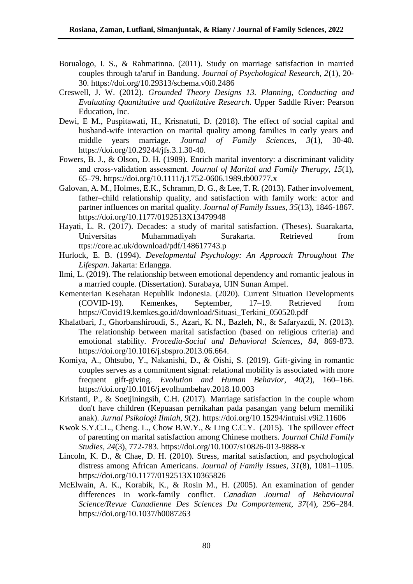- Borualogo, I. S., & Rahmatinna. (2011). Study on marriage satisfaction in married couples through ta'aruf in Bandung. *Journal of Psychological Research, 2*(1), 20- 30. https://doi.org/10.29313/schema.v0i0.2486
- Creswell, J. W. (2012). *Grounded Theory Designs 13. Planning, Conducting and Evaluating Quantitative and Qualitative Research*. Upper Saddle River: Pearson Education, Inc.
- Dewi, E M., Puspitawati, H., Krisnatuti, D. (2018). The effect of social capital and husband-wife interaction on marital quality among families in early years and middle years marriage. *Journal of Family Sciences, 3*(1), 30-40. https://doi.org/10.29244/jfs.3.1.30-40.
- Fowers, B. J., & Olson, D. H. (1989). Enrich marital inventory: a discriminant validity and cross‐validation assessment. *Journal of Marital and Family Therapy*, *15*(1), 65–79. https://doi.org/10.1111/j.1752-0606.1989.tb00777.x
- Galovan, A. M., Holmes, E.K., Schramm, D. G., & Lee, T. R. (2013). Father involvement, father–child relationship quality, and satisfaction with family work: actor and partner influences on marital quality. *Journal of Family Issues, 35*(13), 1846-1867. https://doi.org/10.1177/0192513X13479948
- Hayati, L. R. (2017). Decades: a study of marital satisfaction. (Theses). Suarakarta, Universitas Muhammadiyah Surakarta. Retrieved from ttps://core.ac.uk/download/pdf/148617743.p
- Hurlock, E. B. (1994). *Developmental Psychology: An Approach Throughout The Lifespan*. Jakarta: Erlangga.
- Ilmi, L. (2019). The relationship between emotional dependency and romantic jealous in a married couple. (Dissertation). Surabaya, UIN Sunan Ampel.
- Kementerian Kesehatan Republik Indonesia. (2020). Current Situation Developments (COVID-19). Kemenkes, September, 17–19. Retrieved from https://Covid19.kemkes.go.id/download/Situasi\_Terkini\_050520.pdf
- Khalatbari, J., Ghorbanshiroudi, S., Azari, K. N., Bazleh, N., & Safaryazdi, N. (2013). The relationship between marital satisfaction (based on religious criteria) and emotional stability. *Procedia-Social and Behavioral Sciences, 84*, 869-873. https://doi.org/10.1016/j.sbspro.2013.06.664.
- Komiya, A., Ohtsubo, Y., Nakanishi, D., & Oishi, S. (2019). Gift-giving in romantic couples serves as a commitment signal: relational mobility is associated with more frequent gift-giving. *Evolution and Human Behavior, 40*(2), 160–166. https://doi.org/10.1016/j.evolhumbehav.2018.10.003
- Kristanti, P., & Soetjiningsih, C.H. (2017). Marriage satisfaction in the couple whom don't have children (Kepuasan pernikahan pada pasangan yang belum memiliki anak). *Jurnal Psikologi Ilmiah, 9*(2). https://doi.org/10.15294/intuisi.v9i2.11606
- Kwok S.Y.C.L., Cheng. L., Chow B.W.Y., & Ling C.C.Y. (2015). The spillover effect of parenting on marital satisfaction among Chinese mothers. *Journal Child Family Studies, 24*(3), 772-783. https://doi.org/10.1007/s10826-013-9888-x
- Lincoln, K. D., & Chae, D. H. (2010). Stress, marital satisfaction, and psychological distress among African Americans. *Journal of Family Issues, 31*(8), 1081–1105. https://doi.org/10.1177/0192513X10365826
- McElwain, A. K., Korabik, K., & Rosin M., H. (2005). An examination of gender differences in work-family conflict. *Canadian Journal of Behavioural Science/Revue Canadienne Des Sciences Du Comportement, 37*(4), 296–284. https://doi.org/10.1037/h0087263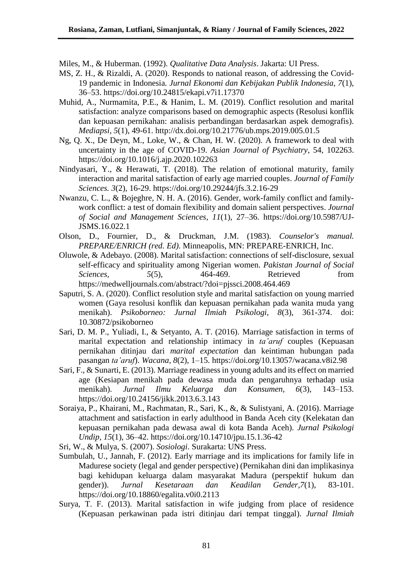Miles, M., & Huberman. (1992). *Qualitative Data Analysis*. Jakarta: UI Press.

- MS, Z. H., & Rizaldi, A. (2020). Responds to national reason, of addressing the Covid-19 pandemic in Indonesia*. Jurnal Ekonomi dan Kebijakan Publik Indonesia, 7*(1), 36–53. https://doi.org/10.24815/ekapi.v7i1.17370
- Muhid, A., Nurmamita, P.E., & Hanim, L. M. (2019). Conflict resolution and marital satisfaction: analyze comparisons based on demographic aspects (Resolusi konflik dan kepuasan pernikahan: analisis perbandingan berdasarkan aspek demografis). *Mediapsi, 5*(1), 49-61. http://dx.doi.org/10.21776/ub.mps.2019.005.01.5
- Ng, Q. X., De Deyn, M., Loke, W., & Chan, H. W. (2020). A framework to deal with uncertainty in the age of COVID-19. *Asian Journal of Psychiatry*, 54, 102263. <https://doi.org/10.1016/j.ajp.2020.102263>
- Nindyasari, Y., & Herawati, T. (2018). The relation of emotional maturity, family interaction and marital satisfaction of early age married couples. *Journal of Family Sciences. 3*(2), 16-29. https://doi.org/10.29244/jfs.3.2.16-29
- Nwanzu, C. L., & Bojeghre, N. H. A. (2016). Gender, work-family conflict and familywork conflict: a test of domain flexibility and domain salient perspectives. *Journal of Social and Management Sciences, 11*(1), 27–36. https://doi.org/10.5987/UJ-JSMS.16.022.1
- Olson, D., Fournier, D., & Druckman, J.M. (1983). *Counselor's manual. PREPARE/ENRICH (red. Ed)*. Minneapolis, MN: PREPARE-ENRICH, Inc.
- Oluwole, & Adebayo. (2008). Marital satisfaction: connections of self-disclosure, sexual self-efficacy and spirituality among Nigerian women. *Pakistan Journal of Social Sciences,* 5(5), 464-469. Retrieved from https://medwelljournals.com/abstract/?doi=pjssci.2008.464.469
- Saputri, S. A. (2020). Conflict resolution style and marital satisfaction on young married women (Gaya resolusi konflik dan kepuasan pernikahan pada wanita muda yang menikah). *Psikoborneo: Jurnal Ilmiah Psikologi, 8*(3), 361-374. doi: 10.30872/psikoborneo
- Sari, D. M. P., Yuliadi, I., & Setyanto, A. T. (2016). Marriage satisfaction in terms of marital expectation and relationship intimacy in *ta'aruf* couples (Kepuasan pernikahan ditinjau dari *marital expectation* dan keintiman hubungan pada pasangan *ta'aruf*). *Wacana, 8*(2), 1–15. https://doi.org/10.13057/wacana.v8i2.98
- Sari, F., & Sunarti, E. (2013). Marriage readiness in young adults and its effect on married age (Kesiapan menikah pada dewasa muda dan pengaruhnya terhadap usia menikah). *Jurnal Ilmu Keluarga dan Konsumen, 6*(3), 143–153. https://doi.org/10.24156/jikk.2013.6.3.143
- Soraiya, P., Khairani, M., Rachmatan, R., Sari, K., &, & Sulistyani, A. (2016). Marriage attachment and satisfaction in early adulthood in Banda Aceh city (Kelekatan dan kepuasan pernikahan pada dewasa awal di kota Banda Aceh). *Jurnal Psikologi Undip, 15*(1), 36–42. https://doi.org/10.14710/jpu.15.1.36-42
- Sri, W., & Mulya, S. (2007). *Sosiologi*. Surakarta: UNS Press.
- Sumbulah, U., Jannah, F. (2012). Early marriage and its implications for family life in Madurese society (legal and gender perspective) (Pernikahan dini dan implikasinya bagi kehidupan keluarga dalam masyarakat Madura (perspektif hukum dan gender)). *Jurnal Kesetaraan dan Keadilan Gender,7*(1), 83-101. https://doi.org/10.18860/egalita.v0i0.2113
- Surya, T. F. (2013). Marital satisfaction in wife judging from place of residence (Kepuasan perkawinan pada istri ditinjau dari tempat tinggal). *Jurnal Ilmiah*